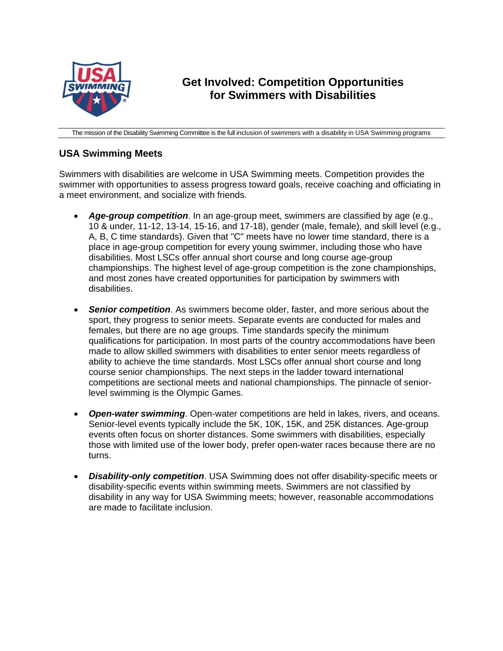

## **Get Involved: Competition Opportunities for Swimmers with Disabilities**

The mission of the Disability Swimming Committee is the full inclusion of swimmers with a disability in USA Swimming programs

## **USA Swimming Meets**

Swimmers with disabilities are welcome in USA Swimming meets. Competition provides the swimmer with opportunities to assess progress toward goals, receive coaching and officiating in a meet environment, and socialize with friends.

- *Age-group competition*. In an age-group meet, swimmers are classified by age (e.g., 10 & under, 11-12, 13-14, 15-16, and 17-18), gender (male, female), and skill level (e.g., A, B, C time standards). Given that "C" meets have no lower time standard, there is a place in age-group competition for every young swimmer, including those who have disabilities. Most LSCs offer annual short course and long course age-group championships. The highest level of age-group competition is the zone championships, and most zones have created opportunities for participation by swimmers with disabilities.
- *Senior competition*. As swimmers become older, faster, and more serious about the sport, they progress to senior meets. Separate events are conducted for males and females, but there are no age groups. Time standards specify the minimum qualifications for participation. In most parts of the country accommodations have been made to allow skilled swimmers with disabilities to enter senior meets regardless of ability to achieve the time standards. Most LSCs offer annual short course and long course senior championships. The next steps in the ladder toward international competitions are sectional meets and national championships. The pinnacle of seniorlevel swimming is the Olympic Games.
- *Open-water swimming*. Open-water competitions are held in lakes, rivers, and oceans. Senior-level events typically include the 5K, 10K, 15K, and 25K distances. Age-group events often focus on shorter distances. Some swimmers with disabilities, especially those with limited use of the lower body, prefer open-water races because there are no turns.
- *Disability-only competition*. USA Swimming does not offer disability-specific meets or disability-specific events within swimming meets. Swimmers are not classified by disability in any way for USA Swimming meets; however, reasonable accommodations are made to facilitate inclusion.